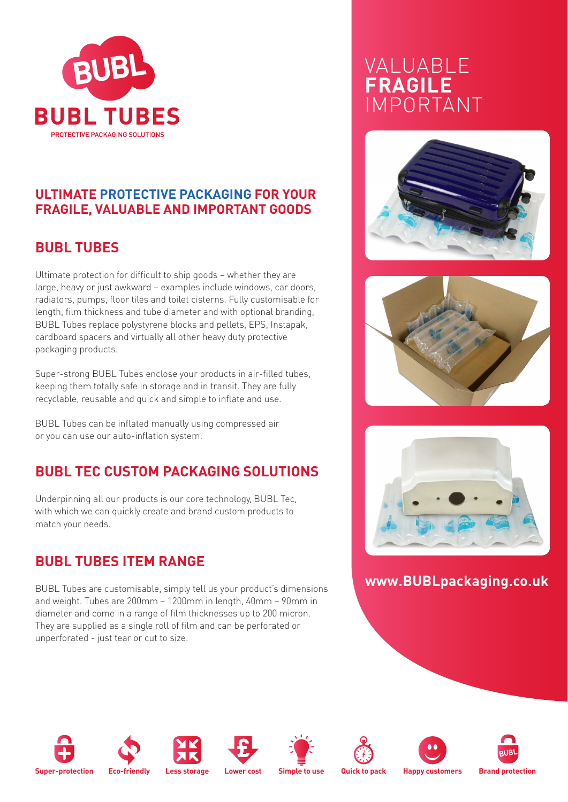

### **ULTIMATE PROTECTIVE PACKAGING FOR YOUR FRAGILE, VALUABLE AND IMPORTANT GOODS**

## **BUBL TUBES**

Ultimate protection for difficult to ship goods – whether they are large, heavy or just awkward – examples include windows, car doors, radiators, pumps, floor tiles and toilet cisterns. Fully customisable for length, film thickness and tube diameter and with optional branding, BUBL Tubes replace polystyrene blocks and pellets, EPS, Instapak, cardboard spacers and virtually all other heavy duty protective packaging products.

Super-strong BUBL Tubes enclose your products in air-filled tubes, keeping them totally safe in storage and in transit. They are fully recyclable, reusable and quick and simple to inflate and use.

BUBL Tubes can be inflated manually using compressed air or you can use our auto-inflation system.

## **BUBL TEC CUSTOM PACKAGING SOLUTIONS**

Underpinning all our products is our core technology, BUBL Tec, with which we can quickly create and brand custom products to match your needs.

## **BUBL TUBES ITEM RANGE**

BUBL Tubes are customisable, simply tell us your product's dimensions and weight. Tubes are 200mm – 1200mm in length, 40mm – 90mm in diameter and come in a range of film thicknesses up to 200 micron. They are supplied as a single roll of film and can be perforated or unperforated - just tear or cut to size.

# VALUABLE **FRAGILE** IMPORTANT







### **www.BUBLpackaging.co.uk**

















**Super-protection Eco-friendly Less storage Lower cost Simple to use Quick to pack Happy customers Brand protection**